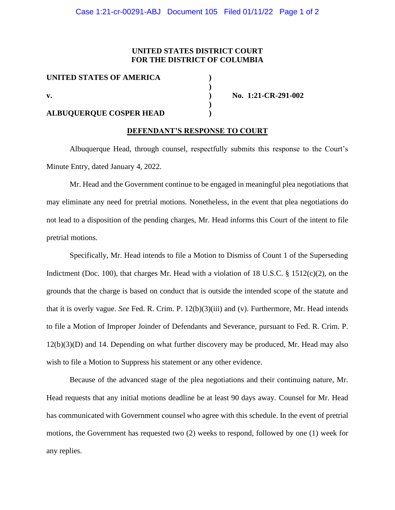### **UNITED STATES DISTRICT COURT FOR THE DISTRICT OF COLUMBIA**

**)**

**)**

**UNITED STATES OF AMERICA ) v. ) No. 1:21-CR-291-002**

# **ALBUQUERQUE COSPER HEAD )**

#### **DEFENDANT'S RESPONSE TO COURT**

Albuquerque Head, through counsel, respectfully submits this response to the Court's Minute Entry, dated January 4, 2022.

Mr. Head and the Government continue to be engaged in meaningful plea negotiations that may eliminate any need for pretrial motions. Nonetheless, in the event that plea negotiations do not lead to a disposition of the pending charges, Mr. Head informs this Court of the intent to file pretrial motions.

Specifically, Mr. Head intends to file a Motion to Dismiss of Count 1 of the Superseding Indictment (Doc. 100), that charges Mr. Head with a violation of 18 U.S.C. § 1512(c)(2), on the grounds that the charge is based on conduct that is outside the intended scope of the statute and that it is overly vague. *See* Fed. R. Crim. P. 12(b)(3)(iii) and (v). Furthermore, Mr. Head intends to file a Motion of Improper Joinder of Defendants and Severance, pursuant to Fed. R. Crim. P. 12(b)(3)(D) and 14. Depending on what further discovery may be produced, Mr. Head may also wish to file a Motion to Suppress his statement or any other evidence.

Because of the advanced stage of the plea negotiations and their continuing nature, Mr. Head requests that any initial motions deadline be at least 90 days away. Counsel for Mr. Head has communicated with Government counsel who agree with this schedule. In the event of pretrial motions, the Government has requested two (2) weeks to respond, followed by one (1) week for any replies.